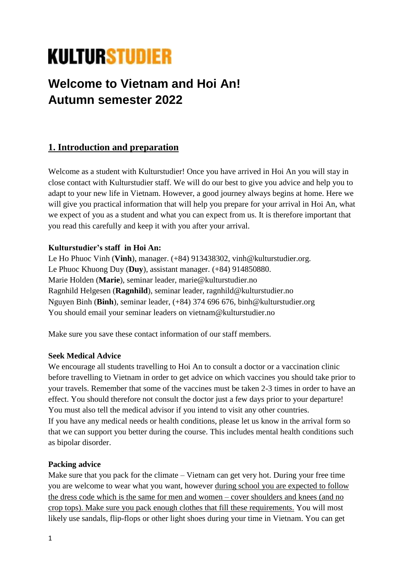# **KULTURSTUDIER**

## **Welcome to Vietnam and Hoi An! Autumn semester 2022**

## **1. Introduction and preparation**

Welcome as a student with Kulturstudier! Once you have arrived in Hoi An you will stay in close contact with Kulturstudier staff. We will do our best to give you advice and help you to adapt to your new life in Vietnam. However, a good journey always begins at home. Here we will give you practical information that will help you prepare for your arrival in Hoi An, what we expect of you as a student and what you can expect from us. It is therefore important that you read this carefully and keep it with you after your arrival.

#### **Kulturstudier's staff in Hoi An:**

Le Ho Phuoc Vinh (**Vinh**), manager. (+84) 913438302, vinh@kulturstudier.org. Le Phuoc Khuong Duy (**Duy**), assistant manager. (+84) 914850880. Marie Holden (**Marie**), seminar leader, marie@kulturstudier.no Ragnhild Helgesen (**Ragnhild**), seminar leader, ragnhild@kulturstudier.no Nguyen Binh (**Binh**), seminar leader, (+84) 374 696 676, binh@kulturstudier.org You should email your seminar leaders on vietnam@kulturstudier.no

Make sure you save these contact information of our staff members.

#### **Seek Medical Advice**

We encourage all students travelling to Hoi An to consult a doctor or a vaccination clinic before travelling to Vietnam in order to get advice on which vaccines you should take prior to your travels. Remember that some of the vaccines must be taken 2-3 times in order to have an effect. You should therefore not consult the doctor just a few days prior to your departure! You must also tell the medical advisor if you intend to visit any other countries. If you have any medical needs or health conditions, please let us know in the arrival form so that we can support you better during the course. This includes mental health conditions such as bipolar disorder.

#### **Packing advice**

Make sure that you pack for the climate – Vietnam can get very hot. During your free time you are welcome to wear what you want, however during school you are expected to follow the dress code which is the same for men and women – cover shoulders and knees (and no crop tops). Make sure you pack enough clothes that fill these requirements. You will most likely use sandals, flip-flops or other light shoes during your time in Vietnam. You can get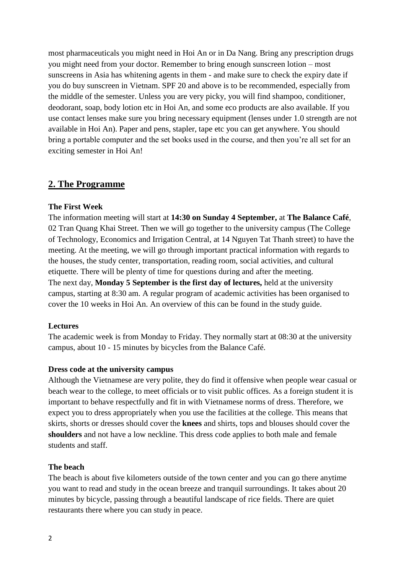most pharmaceuticals you might need in Hoi An or in Da Nang. Bring any prescription drugs you might need from your doctor. Remember to bring enough sunscreen lotion – most sunscreens in Asia has whitening agents in them - and make sure to check the expiry date if you do buy sunscreen in Vietnam. SPF 20 and above is to be recommended, especially from the middle of the semester. Unless you are very picky, you will find shampoo, conditioner, deodorant, soap, body lotion etc in Hoi An, and some eco products are also available. If you use contact lenses make sure you bring necessary equipment (lenses under 1.0 strength are not available in Hoi An). Paper and pens, stapler, tape etc you can get anywhere. You should bring a portable computer and the set books used in the course, and then you're all set for an exciting semester in Hoi An!

#### **2. The Programme**

#### **The First Week**

The information meeting will start at **14:30 on Sunday 4 September,** at **The Balance Café**, 02 Tran Quang Khai Street. Then we will go together to the university campus (The College of Technology, Economics and Irrigation Central, at 14 Nguyen Tat Thanh street) to have the meeting. At the meeting, we will go through important practical information with regards to the houses, the study center, transportation, reading room, social activities, and cultural etiquette. There will be plenty of time for questions during and after the meeting. The next day, **Monday 5 September is the first day of lectures,** held at the university campus, starting at 8:30 am. A regular program of academic activities has been organised to cover the 10 weeks in Hoi An. An overview of this can be found in the study guide.

#### **Lectures**

The academic week is from Monday to Friday. They normally start at 08:30 at the university campus, about 10 - 15 minutes by bicycles from the Balance Café.

#### **Dress code at the university campus**

Although the Vietnamese are very polite, they do find it offensive when people wear casual or beach wear to the college, to meet officials or to visit public offices. As a foreign student it is important to behave respectfully and fit in with Vietnamese norms of dress. Therefore, we expect you to dress appropriately when you use the facilities at the college. This means that skirts, shorts or dresses should cover the **knees** and shirts, tops and blouses should cover the **shoulders** and not have a low neckline. This dress code applies to both male and female students and staff.

#### **The beach**

The beach is about five kilometers outside of the town center and you can go there anytime you want to read and study in the ocean breeze and tranquil surroundings. It takes about 20 minutes by bicycle, passing through a beautiful landscape of rice fields. There are quiet restaurants there where you can study in peace.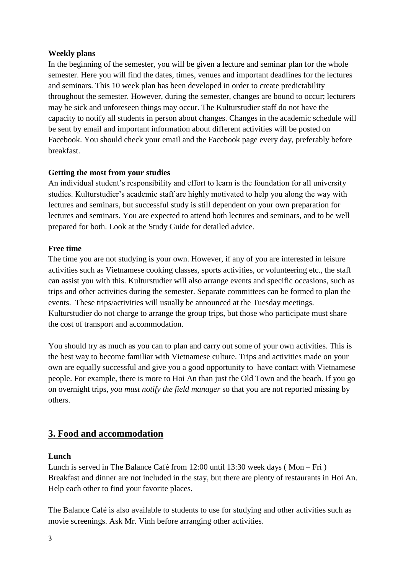#### **Weekly plans**

In the beginning of the semester, you will be given a lecture and seminar plan for the whole semester. Here you will find the dates, times, venues and important deadlines for the lectures and seminars. This 10 week plan has been developed in order to create predictability throughout the semester. However, during the semester, changes are bound to occur; lecturers may be sick and unforeseen things may occur. The Kulturstudier staff do not have the capacity to notify all students in person about changes. Changes in the academic schedule will be sent by email and important information about different activities will be posted on Facebook. You should check your email and the Facebook page every day, preferably before breakfast.

#### **Getting the most from your studies**

An individual student's responsibility and effort to learn is the foundation for all university studies. Kulturstudier's academic staff are highly motivated to help you along the way with lectures and seminars, but successful study is still dependent on your own preparation for lectures and seminars. You are expected to attend both lectures and seminars, and to be well prepared for both. Look at the Study Guide for detailed advice.

#### **Free time**

The time you are not studying is your own. However, if any of you are interested in leisure activities such as Vietnamese cooking classes, sports activities, or volunteering etc., the staff can assist you with this. Kulturstudier will also arrange events and specific occasions, such as trips and other activities during the semester. Separate committees can be formed to plan the events. These trips/activities will usually be announced at the Tuesday meetings. Kulturstudier do not charge to arrange the group trips, but those who participate must share the cost of transport and accommodation.

You should try as much as you can to plan and carry out some of your own activities. This is the best way to become familiar with Vietnamese culture. Trips and activities made on your own are equally successful and give you a good opportunity to have contact with Vietnamese people. For example, there is more to Hoi An than just the Old Town and the beach. If you go on overnight trips, *you must notify the field manager* so that you are not reported missing by others.

## **3. Food and accommodation**

#### **Lunch**

Lunch is served in The Balance Café from 12:00 until 13:30 week days ( Mon – Fri ) Breakfast and dinner are not included in the stay, but there are plenty of restaurants in Hoi An. Help each other to find your favorite places.

The Balance Café is also available to students to use for studying and other activities such as movie screenings. Ask Mr. Vinh before arranging other activities.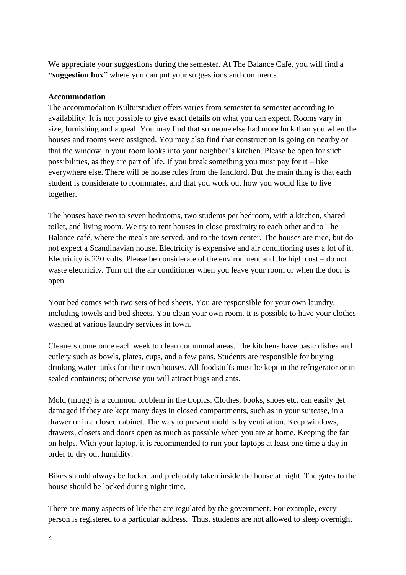We appreciate your suggestions during the semester. At The Balance Café, you will find a **"suggestion box"** where you can put your suggestions and comments

#### **Accommodation**

The accommodation Kulturstudier offers varies from semester to semester according to availability. It is not possible to give exact details on what you can expect. Rooms vary in size, furnishing and appeal. You may find that someone else had more luck than you when the houses and rooms were assigned. You may also find that construction is going on nearby or that the window in your room looks into your neighbor's kitchen. Please be open for such possibilities, as they are part of life. If you break something you must pay for  $it - like$ everywhere else. There will be house rules from the landlord. But the main thing is that each student is considerate to roommates, and that you work out how you would like to live together.

The houses have two to seven bedrooms, two students per bedroom, with a kitchen, shared toilet, and living room. We try to rent houses in close proximity to each other and to The Balance café, where the meals are served, and to the town center. The houses are nice, but do not expect a Scandinavian house. Electricity is expensive and air conditioning uses a lot of it. Electricity is 220 volts. Please be considerate of the environment and the high cost – do not waste electricity. Turn off the air conditioner when you leave your room or when the door is open.

Your bed comes with two sets of bed sheets. You are responsible for your own laundry, including towels and bed sheets. You clean your own room. It is possible to have your clothes washed at various laundry services in town.

Cleaners come once each week to clean communal areas. The kitchens have basic dishes and cutlery such as bowls, plates, cups, and a few pans. Students are responsible for buying drinking water tanks for their own houses. All foodstuffs must be kept in the refrigerator or in sealed containers; otherwise you will attract bugs and ants.

Mold (mugg) is a common problem in the tropics. Clothes, books, shoes etc. can easily get damaged if they are kept many days in closed compartments, such as in your suitcase, in a drawer or in a closed cabinet. The way to prevent mold is by ventilation. Keep windows, drawers, closets and doors open as much as possible when you are at home. Keeping the fan on helps. With your laptop, it is recommended to run your laptops at least one time a day in order to dry out humidity.

Bikes should always be locked and preferably taken inside the house at night. The gates to the house should be locked during night time.

There are many aspects of life that are regulated by the government. For example, every person is registered to a particular address. Thus, students are not allowed to sleep overnight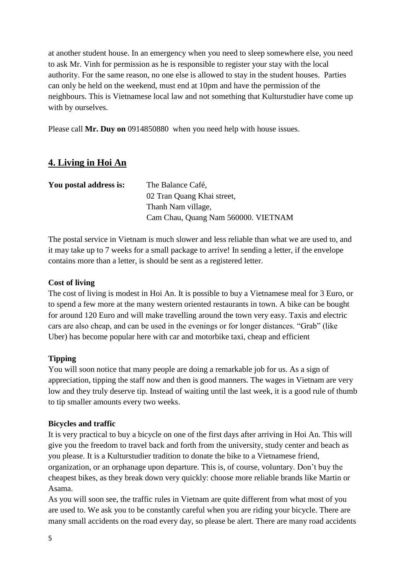at another student house. In an emergency when you need to sleep somewhere else, you need to ask Mr. Vinh for permission as he is responsible to register your stay with the local authority. For the same reason, no one else is allowed to stay in the student houses. Parties can only be held on the weekend, must end at 10pm and have the permission of the neighbours. This is Vietnamese local law and not something that Kulturstudier have come up with by ourselves.

Please call **Mr. Duy on** 0914850880 when you need help with house issues.

## **4. Living in Hoi An**

| You postal address is: | The Balance Café,                   |
|------------------------|-------------------------------------|
|                        | 02 Tran Quang Khai street,          |
|                        | Thanh Nam village,                  |
|                        | Cam Chau, Quang Nam 560000. VIETNAM |

The postal service in Vietnam is much slower and less reliable than what we are used to, and it may take up to 7 weeks for a small package to arrive! In sending a letter, if the envelope contains more than a letter, is should be sent as a registered letter.

#### **Cost of living**

The cost of living is modest in Hoi An. It is possible to buy a Vietnamese meal for 3 Euro, or to spend a few more at the many western oriented restaurants in town. A bike can be bought for around 120 Euro and will make travelling around the town very easy. Taxis and electric cars are also cheap, and can be used in the evenings or for longer distances. "Grab" (like Uber) has become popular here with car and motorbike taxi, cheap and efficient

#### **Tipping**

You will soon notice that many people are doing a remarkable job for us. As a sign of appreciation, tipping the staff now and then is good manners. The wages in Vietnam are very low and they truly deserve tip. Instead of waiting until the last week, it is a good rule of thumb to tip smaller amounts every two weeks.

#### **Bicycles and traffic**

It is very practical to buy a bicycle on one of the first days after arriving in Hoi An. This will give you the freedom to travel back and forth from the university, study center and beach as you please. It is a Kulturstudier tradition to donate the bike to a Vietnamese friend, organization, or an orphanage upon departure. This is, of course, voluntary. Don't buy the cheapest bikes, as they break down very quickly: choose more reliable brands like Martin or Asama.

As you will soon see, the traffic rules in Vietnam are quite different from what most of you are used to. We ask you to be constantly careful when you are riding your bicycle. There are many small accidents on the road every day, so please be alert. There are many road accidents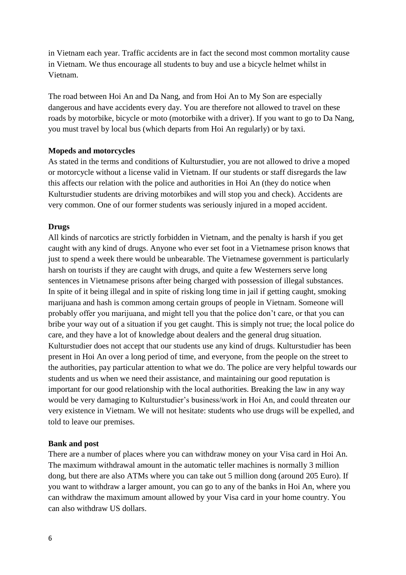in Vietnam each year. Traffic accidents are in fact the second most common mortality cause in Vietnam. We thus encourage all students to buy and use a bicycle helmet whilst in Vietnam.

The road between Hoi An and Da Nang, and from Hoi An to My Son are especially dangerous and have accidents every day. You are therefore not allowed to travel on these roads by motorbike, bicycle or moto (motorbike with a driver). If you want to go to Da Nang, you must travel by local bus (which departs from Hoi An regularly) or by taxi.

#### **Mopeds and motorcycles**

As stated in the terms and conditions of Kulturstudier, you are not allowed to drive a moped or motorcycle without a license valid in Vietnam. If our students or staff disregards the law this affects our relation with the police and authorities in Hoi An (they do notice when Kulturstudier students are driving motorbikes and will stop you and check). Accidents are very common. One of our former students was seriously injured in a moped accident.

#### **Drugs**

All kinds of narcotics are strictly forbidden in Vietnam, and the penalty is harsh if you get caught with any kind of drugs. Anyone who ever set foot in a Vietnamese prison knows that just to spend a week there would be unbearable. The Vietnamese government is particularly harsh on tourists if they are caught with drugs, and quite a few Westerners serve long sentences in Vietnamese prisons after being charged with possession of illegal substances. In spite of it being illegal and in spite of risking long time in jail if getting caught, smoking marijuana and hash is common among certain groups of people in Vietnam. Someone will probably offer you marijuana, and might tell you that the police don't care, or that you can bribe your way out of a situation if you get caught. This is simply not true; the local police do care, and they have a lot of knowledge about dealers and the general drug situation. Kulturstudier does not accept that our students use any kind of drugs. Kulturstudier has been present in Hoi An over a long period of time, and everyone, from the people on the street to the authorities, pay particular attention to what we do. The police are very helpful towards our students and us when we need their assistance, and maintaining our good reputation is important for our good relationship with the local authorities. Breaking the law in any way would be very damaging to Kulturstudier's business/work in Hoi An, and could threaten our very existence in Vietnam. We will not hesitate: students who use drugs will be expelled, and told to leave our premises.

#### **Bank and post**

There are a number of places where you can withdraw money on your Visa card in Hoi An. The maximum withdrawal amount in the automatic teller machines is normally 3 million dong, but there are also ATMs where you can take out 5 million dong (around 205 Euro). If you want to withdraw a larger amount, you can go to any of the banks in Hoi An, where you can withdraw the maximum amount allowed by your Visa card in your home country. You can also withdraw US dollars.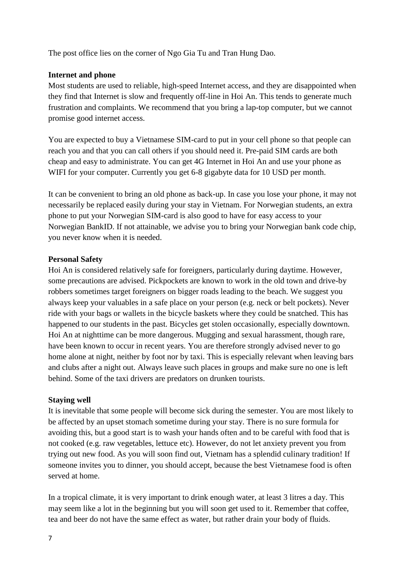The post office lies on the corner of Ngo Gia Tu and Tran Hung Dao.

#### **Internet and phone**

Most students are used to reliable, high-speed Internet access, and they are disappointed when they find that Internet is slow and frequently off-line in Hoi An. This tends to generate much frustration and complaints. We recommend that you bring a lap-top computer, but we cannot promise good internet access.

You are expected to buy a Vietnamese SIM-card to put in your cell phone so that people can reach you and that you can call others if you should need it. Pre-paid SIM cards are both cheap and easy to administrate. You can get 4G Internet in Hoi An and use your phone as WIFI for your computer. Currently you get 6-8 gigabyte data for 10 USD per month.

It can be convenient to bring an old phone as back-up. In case you lose your phone, it may not necessarily be replaced easily during your stay in Vietnam. For Norwegian students, an extra phone to put your Norwegian SIM-card is also good to have for easy access to your Norwegian BankID. If not attainable, we advise you to bring your Norwegian bank code chip, you never know when it is needed.

#### **Personal Safety**

Hoi An is considered relatively safe for foreigners, particularly during daytime. However, some precautions are advised. Pickpockets are known to work in the old town and drive-by robbers sometimes target foreigners on bigger roads leading to the beach. We suggest you always keep your valuables in a safe place on your person (e.g. neck or belt pockets). Never ride with your bags or wallets in the bicycle baskets where they could be snatched. This has happened to our students in the past. Bicycles get stolen occasionally, especially downtown. Hoi An at nighttime can be more dangerous. Mugging and sexual harassment, though rare, have been known to occur in recent years. You are therefore strongly advised never to go home alone at night, neither by foot nor by taxi. This is especially relevant when leaving bars and clubs after a night out. Always leave such places in groups and make sure no one is left behind. Some of the taxi drivers are predators on drunken tourists.

#### **Staying well**

It is inevitable that some people will become sick during the semester. You are most likely to be affected by an upset stomach sometime during your stay. There is no sure formula for avoiding this, but a good start is to wash your hands often and to be careful with food that is not cooked (e.g. raw vegetables, lettuce etc). However, do not let anxiety prevent you from trying out new food. As you will soon find out, Vietnam has a splendid culinary tradition! If someone invites you to dinner, you should accept, because the best Vietnamese food is often served at home.

In a tropical climate, it is very important to drink enough water, at least 3 litres a day. This may seem like a lot in the beginning but you will soon get used to it. Remember that coffee, tea and beer do not have the same effect as water, but rather drain your body of fluids.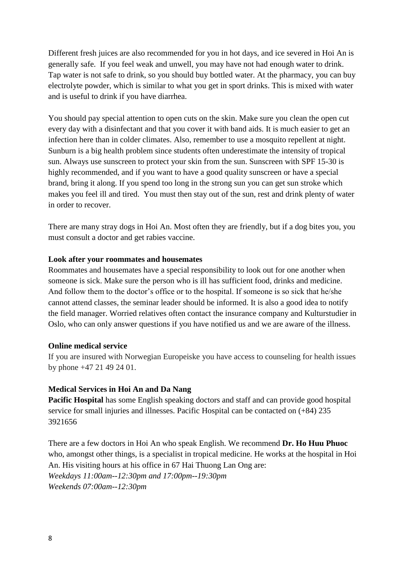Different fresh juices are also recommended for you in hot days, and ice severed in Hoi An is generally safe. If you feel weak and unwell, you may have not had enough water to drink. Tap water is not safe to drink, so you should buy bottled water. At the pharmacy, you can buy electrolyte powder, which is similar to what you get in sport drinks. This is mixed with water and is useful to drink if you have diarrhea.

You should pay special attention to open cuts on the skin. Make sure you clean the open cut every day with a disinfectant and that you cover it with band aids. It is much easier to get an infection here than in colder climates. Also, remember to use a mosquito repellent at night. Sunburn is a big health problem since students often underestimate the intensity of tropical sun. Always use sunscreen to protect your skin from the sun. Sunscreen with SPF 15-30 is highly recommended, and if you want to have a good quality sunscreen or have a special brand, bring it along. If you spend too long in the strong sun you can get sun stroke which makes you feel ill and tired. You must then stay out of the sun, rest and drink plenty of water in order to recover.

There are many stray dogs in Hoi An. Most often they are friendly, but if a dog bites you, you must consult a doctor and get rabies vaccine.

#### **Look after your roommates and housemates**

Roommates and housemates have a special responsibility to look out for one another when someone is sick. Make sure the person who is ill has sufficient food, drinks and medicine. And follow them to the doctor's office or to the hospital. If someone is so sick that he/she cannot attend classes, the seminar leader should be informed. It is also a good idea to notify the field manager. Worried relatives often contact the insurance company and Kulturstudier in Oslo, who can only answer questions if you have notified us and we are aware of the illness.

#### **Online medical service**

If you are insured with Norwegian Europeiske you have access to counseling for health issues by phone +47 21 49 24 01.

#### **Medical Services in Hoi An and Da Nang**

**Pacific Hospital** has some English speaking doctors and staff and can provide good hospital service for small injuries and illnesses. Pacific Hospital can be contacted on  $(+84)$  235 3921656

There are a few doctors in Hoi An who speak English. We recommend **Dr. Ho Huu Phuoc**  who, amongst other things, is a specialist in tropical medicine. He works at the hospital in Hoi An. His visiting hours at his office in 67 Hai Thuong Lan Ong are: *Weekdays 11:00am--12:30pm and 17:00pm--19:30pm Weekends 07:00am--12:30pm*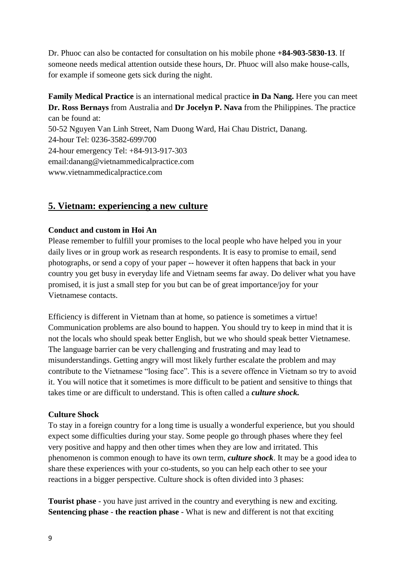Dr. Phuoc can also be contacted for consultation on his mobile phone **+84-903-5830-13**. If someone needs medical attention outside these hours, Dr. Phuoc will also make house-calls, for example if someone gets sick during the night.

## **Family Medical Practice** is an international medical practice **in Da Nang.** Here you can meet **Dr. Ross Bernays** from Australia and **Dr Jocelyn P. Nava** from the Philippines. The practice can be found at:

50-52 Nguyen Van Linh Street, Nam Duong Ward, Hai Chau District, Danang. 24-hour Tel: 0236-3582-699\700 24-hour emergency Tel: +84-913-917-303 email:danang@vietnammedicalpractice.com www.vietnammedicalpractice.com

## **5. Vietnam: experiencing a new culture**

#### **Conduct and custom in Hoi An**

Please remember to fulfill your promises to the local people who have helped you in your daily lives or in group work as research respondents. It is easy to promise to email, send photographs, or send a copy of your paper -- however it often happens that back in your country you get busy in everyday life and Vietnam seems far away. Do deliver what you have promised, it is just a small step for you but can be of great importance/joy for your Vietnamese contacts.

Efficiency is different in Vietnam than at home, so patience is sometimes a virtue! Communication problems are also bound to happen. You should try to keep in mind that it is not the locals who should speak better English, but we who should speak better Vietnamese. The language barrier can be very challenging and frustrating and may lead to misunderstandings. Getting angry will most likely further escalate the problem and may contribute to the Vietnamese "losing face". This is a severe offence in Vietnam so try to avoid it. You will notice that it sometimes is more difficult to be patient and sensitive to things that takes time or are difficult to understand. This is often called a *culture shock.*

#### **Culture Shock**

To stay in a foreign country for a long time is usually a wonderful experience, but you should expect some difficulties during your stay. Some people go through phases where they feel very positive and happy and then other times when they are low and irritated. This phenomenon is common enough to have its own term, *culture shock*. It may be a good idea to share these experiences with your co-students, so you can help each other to see your reactions in a bigger perspective. Culture shock is often divided into 3 phases:

**Tourist phase** - you have just arrived in the country and everything is new and exciting. **Sentencing phase** - **the reaction phase** - What is new and different is not that exciting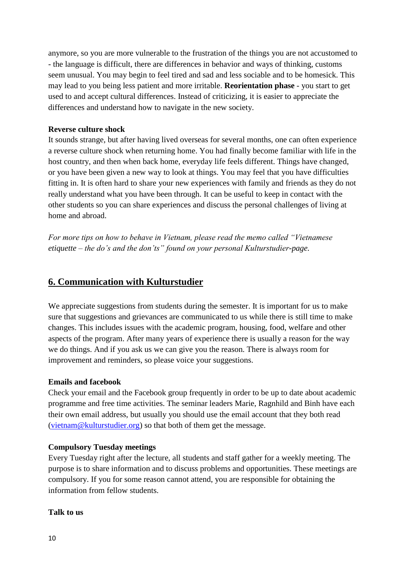anymore, so you are more vulnerable to the frustration of the things you are not accustomed to - the language is difficult, there are differences in behavior and ways of thinking, customs seem unusual. You may begin to feel tired and sad and less sociable and to be homesick. This may lead to you being less patient and more irritable. **Reorientation phase** - you start to get used to and accept cultural differences. Instead of criticizing, it is easier to appreciate the differences and understand how to navigate in the new society.

#### **Reverse culture shock**

It sounds strange, but after having lived overseas for several months, one can often experience a reverse culture shock when returning home. You had finally become familiar with life in the host country, and then when back home, everyday life feels different. Things have changed, or you have been given a new way to look at things. You may feel that you have difficulties fitting in. It is often hard to share your new experiences with family and friends as they do not really understand what you have been through. It can be useful to keep in contact with the other students so you can share experiences and discuss the personal challenges of living at home and abroad.

*For more tips on how to behave in Vietnam, please read the memo called "Vietnamese etiquette – the do's and the don'ts" found on your personal Kulturstudier-page.* 

### **6. Communication with Kulturstudier**

We appreciate suggestions from students during the semester. It is important for us to make sure that suggestions and grievances are communicated to us while there is still time to make changes. This includes issues with the academic program, housing, food, welfare and other aspects of the program. After many years of experience there is usually a reason for the way we do things. And if you ask us we can give you the reason. There is always room for improvement and reminders, so please voice your suggestions.

#### **Emails and facebook**

Check your email and the Facebook group frequently in order to be up to date about academic programme and free time activities. The seminar leaders Marie, Ragnhild and Binh have each their own email address, but usually you should use the email account that they both read [\(vietnam@kulturstudier.org\)](mailto:vietnam@kulturstudier.org) so that both of them get the message.

#### **Compulsory Tuesday meetings**

Every Tuesday right after the lecture, all students and staff gather for a weekly meeting. The purpose is to share information and to discuss problems and opportunities. These meetings are compulsory. If you for some reason cannot attend, you are responsible for obtaining the information from fellow students.

#### **Talk to us**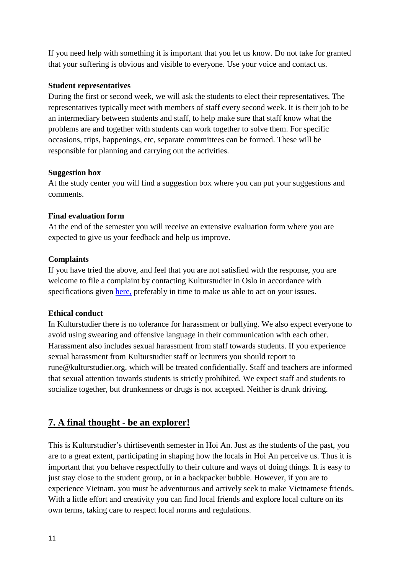If you need help with something it is important that you let us know. Do not take for granted that your suffering is obvious and visible to everyone. Use your voice and contact us.

#### **Student representatives**

During the first or second week, we will ask the students to elect their representatives. The representatives typically meet with members of staff every second week. It is their job to be an intermediary between students and staff, to help make sure that staff know what the problems are and together with students can work together to solve them. For specific occasions, trips, happenings, etc, separate committees can be formed. These will be responsible for planning and carrying out the activities.

#### **Suggestion box**

At the study center you will find a suggestion box where you can put your suggestions and comments.

#### **Final evaluation form**

At the end of the semester you will receive an extensive evaluation form where you are expected to give us your feedback and help us improve.

#### **Complaints**

If you have tried the above, and feel that you are not satisfied with the response, you are welcome to file a complaint by contacting Kulturstudier in Oslo in accordance with specifications given [here,](https://www.dropbox.com/s/zcwkumgl583zaba/Feedback%20and%20complaints.pdf?dl=0) preferably in time to make us able to act on your issues.

#### **Ethical conduct**

In Kulturstudier there is no tolerance for harassment or bullying. We also expect everyone to avoid using swearing and offensive language in their communication with each other. Harassment also includes sexual harassment from staff towards students. If you experience sexual harassment from Kulturstudier staff or lecturers you should report to rune@kulturstudier.org, which will be treated confidentially. Staff and teachers are informed that sexual attention towards students is strictly prohibited. We expect staff and students to socialize together, but drunkenness or drugs is not accepted. Neither is drunk driving.

## **7. A final thought - be an explorer!**

This is Kulturstudier's thirtiseventh semester in Hoi An. Just as the students of the past, you are to a great extent, participating in shaping how the locals in Hoi An perceive us. Thus it is important that you behave respectfully to their culture and ways of doing things. It is easy to just stay close to the student group, or in a backpacker bubble. However, if you are to experience Vietnam, you must be adventurous and actively seek to make Vietnamese friends. With a little effort and creativity you can find local friends and explore local culture on its own terms, taking care to respect local norms and regulations.